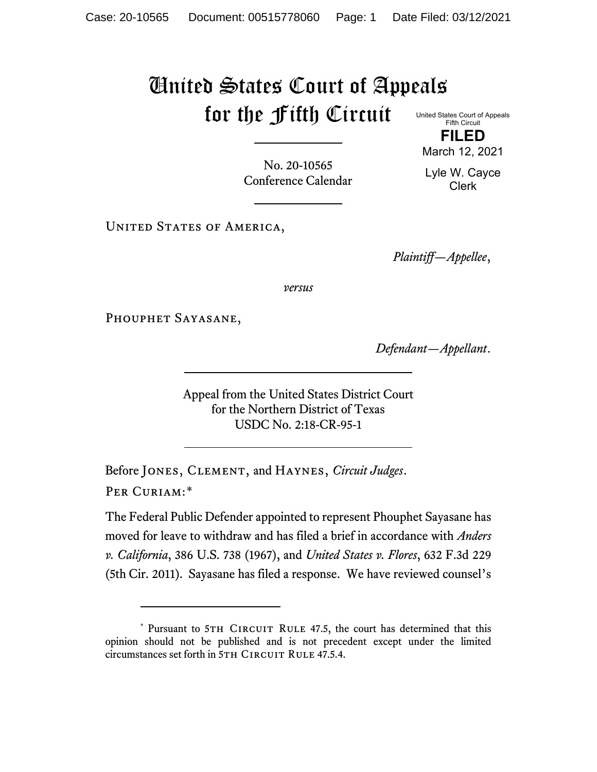## United States Court of Appeals for the Fifth Circuit

United States Court of Appeals Fifth Circuit **FILED**

March 12, 2021

No. 20-10565 Conference Calendar Lyle W. Cayce Clerk

UNITED STATES OF AMERICA,

*Plaintiff—Appellee*,

*versus*

PHOUPHET SAYASANE,

*Defendant—Appellant*.

Appeal from the United States District Court for the Northern District of Texas USDC No. 2:18-CR-95-1

Before Jones, Clement, and Haynes, *Circuit Judges*. Per Curiam:[\\*](#page-0-0)

The Federal Public Defender appointed to represent Phouphet Sayasane has moved for leave to withdraw and has filed a brief in accordance with *Anders v. California*, 386 U.S. 738 (1967), and *United States v. Flores*, 632 F.3d 229 (5th Cir. 2011). Sayasane has filed a response. We have reviewed counsel's

<span id="page-0-0"></span><sup>\*</sup> Pursuant to 5TH CIRCUIT RULE 47.5, the court has determined that this opinion should not be published and is not precedent except under the limited circumstances set forth in 5TH CIRCUIT RULE 47.5.4.